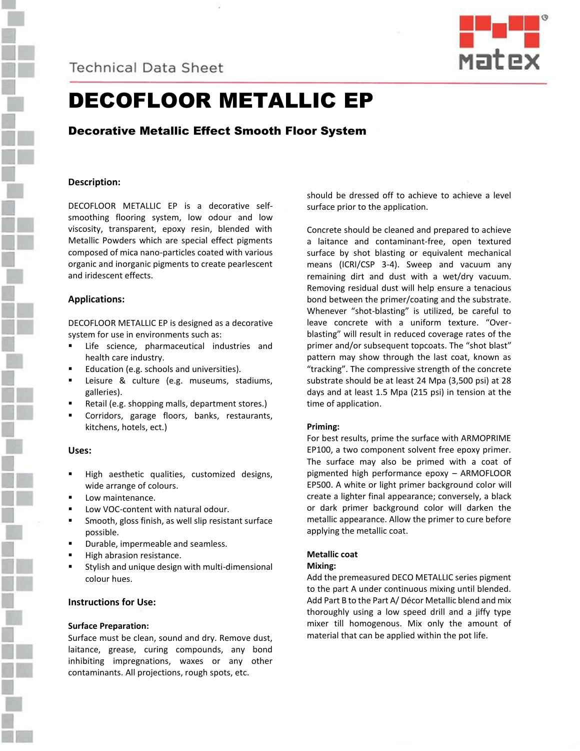**Technical Data Sheet** 



# DECOFLOOR METALLIC EP

Decorative Metallic Effect Smooth Floor System

## **Description:**

DECOFLOOR METALLIC EP is a decorative selfsmoothing flooring system, low odour and low viscosity, transparent, epoxy resin, blended with Metallic Powders which are special effect pigments composed of mica nano-particles coated with various organic and inorganic pigments to create pearlescent and iridescent effects.

## **Applications:**

DECOFLOOR METALLIC EP is designed as a decorative system for use in environments such as:

- Life science, pharmaceutical industries and health care industry.
- Education (e.g. schools and universities).
- Leisure & culture (e.g. museums, stadiums, galleries).
- Retail (e.g. shopping malls, department stores.)
- Corridors, garage floors, banks, restaurants, kitchens, hotels, ect.)

## **Uses:**

- High aesthetic qualities, customized designs, wide arrange of colours.
- Low maintenance.
- Low VOC-content with natural odour.
- Smooth, gloss finish, as well slip resistant surface possible.
- Durable, impermeable and seamless.
- High abrasion resistance.
- Stylish and unique design with multi-dimensional colour hues.

## **Instructions for Use:**

### **Surface Preparation:**

Surface must be clean, sound and dry. Remove dust, laitance, grease, curing compounds, any bond inhibiting impregnations, waxes or any other contaminants. All projections, rough spots, etc.

should be dressed off to achieve to achieve a level surface prior to the application.

Concrete should be cleaned and prepared to achieve a laitance and contaminant-free, open textured surface by shot blasting or equivalent mechanical means (ICRI/CSP 3-4). Sweep and vacuum any remaining dirt and dust with a wet/dry vacuum. Removing residual dust will help ensure a tenacious bond between the primer/coating and the substrate. Whenever "shot-blasting" is utilized, be careful to leave concrete with a uniform texture. "Overblasting" will result in reduced coverage rates of the primer and/or subsequent topcoats. The "shot blast" pattern may show through the last coat, known as "tracking". The compressive strength of the concrete substrate should be at least 24 Mpa (3,500 psi) at 28 days and at least 1.5 Mpa (215 psi) in tension at the time of application.

## **Priming:**

For best results, prime the surface with ARMOPRIME EP100, a two component solvent free epoxy primer. The surface may also be primed with a coat of pigmented high performance epoxy – ARMOFLOOR EP500. A white or light primer background color will create a lighter final appearance; conversely, a black or dark primer background color will darken the metallic appearance. Allow the primer to cure before applying the metallic coat.

### **Metallic coat**

### **Mixing:**

Add the premeasured DECO METALLIC series pigment to the part A under continuous mixing until blended. Add Part B to the Part A/ Décor Metallic blend and mix thoroughly using a low speed drill and a jiffy type mixer till homogenous. Mix only the amount of material that can be applied within the pot life.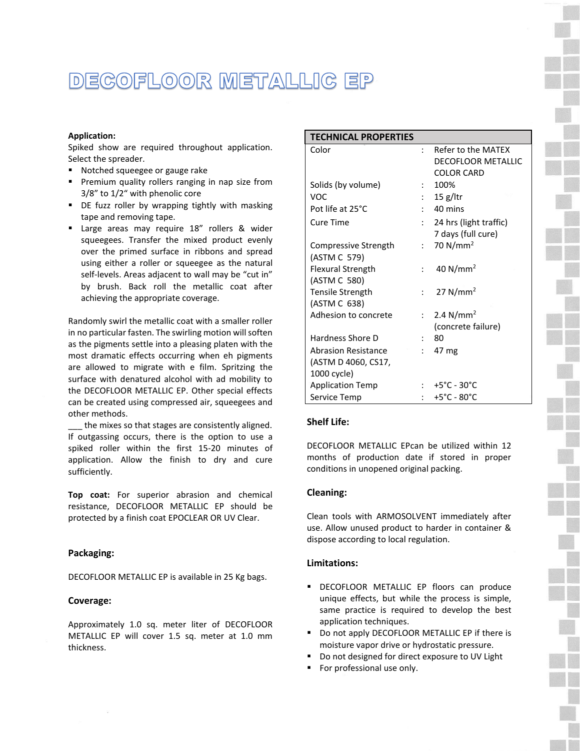## DECOFLOOR METALLIC EP

### **Application:**

Spiked show are required throughout application. Select the spreader.

- Notched squeegee or gauge rake
- **•** Premium quality rollers ranging in nap size from 3/8" to 1/2" with phenolic core
- DE fuzz roller by wrapping tightly with masking tape and removing tape.
- **E** Large areas may require 18" rollers & wider squeegees. Transfer the mixed product evenly over the primed surface in ribbons and spread using either a roller or squeegee as the natural self-levels. Areas adjacent to wall may be "cut in" by brush. Back roll the metallic coat after achieving the appropriate coverage.

Randomly swirl the metallic coat with a smaller roller in no particular fasten. The swirling motion will soften as the pigments settle into a pleasing platen with the most dramatic effects occurring when eh pigments are allowed to migrate with e film. Spritzing the surface with denatured alcohol with ad mobility to the DECOFLOOR METALLIC EP. Other special effects can be created using compressed air, squeegees and other methods.

the mixes so that stages are consistently aligned. If outgassing occurs, there is the option to use a spiked roller within the first 15-20 minutes of application. Allow the finish to dry and cure sufficiently.

**Top coat:** For superior abrasion and chemical resistance, DECOFLOOR METALLIC EP should be protected by a finish coat EPOCLEAR OR UV Clear.

### **Packaging:**

DECOFLOOR METALLIC EP is available in 25 Kg bags.

#### **Coverage:**

Approximately 1.0 sq. meter liter of DECOFLOOR METALLIC EP will cover 1.5 sq. meter at 1.0 mm thickness.

| <b>TECHNICAL PROPERTIES</b> |                |                                    |
|-----------------------------|----------------|------------------------------------|
| Color                       |                | Refer to the MATFX                 |
|                             |                | <b>DECOFLOOR METALLIC</b>          |
|                             |                | <b>COLOR CARD</b>                  |
| Solids (by volume)          |                | 100%                               |
| VOC.                        |                | $15$ g/ltr                         |
| Pot life at 25°C            | $\cdot$        | 40 mins                            |
| Cure Time                   | $\ddot{\cdot}$ | 24 hrs (light traffic)             |
|                             |                | 7 days (full cure)                 |
| Compressive Strength        | $\bullet$ .    | 70 N/mm <sup>2</sup>               |
| (ASTM C 579)                |                |                                    |
| <b>Flexural Strength</b>    |                | 40 $N/mm^2$                        |
| (ASTM C 580)                |                |                                    |
| <b>Tensile Strength</b>     | $\mathbf{r}$   | 27 N/mm <sup>2</sup>               |
| (ASTM C 638)                |                |                                    |
| Adhesion to concrete        | $\mathcal{L}$  | 2.4 $N/mm^2$                       |
|                             |                | (concrete failure)                 |
| Hardness Shore D            |                | 80                                 |
| <b>Abrasion Resistance</b>  |                | 47 mg                              |
| (ASTM D 4060, CS17,         |                |                                    |
| 1000 cycle)                 |                |                                    |
| <b>Application Temp</b>     |                | : $+5^{\circ}$ C - 30 $^{\circ}$ C |
| Service Temp                |                | $+5^{\circ}$ C - 80 $^{\circ}$ C   |

### **Shelf Life:**

DECOFLOOR METALLIC EPcan be utilized within 12 months of production date if stored in proper conditions in unopened original packing.

### **Cleaning:**

Clean tools with ARMOSOLVENT immediately after use. Allow unused product to harder in container & dispose according to local regulation.

### **Limitations:**

- **DECOFLOOR METALLIC EP floors can produce** unique effects, but while the process is simple, same practice is required to develop the best application techniques.
- Do not apply DECOFLOOR METALLIC EP if there is moisture vapor drive or hydrostatic pressure.
- Do not designed for direct exposure to UV Light
- For professional use only.